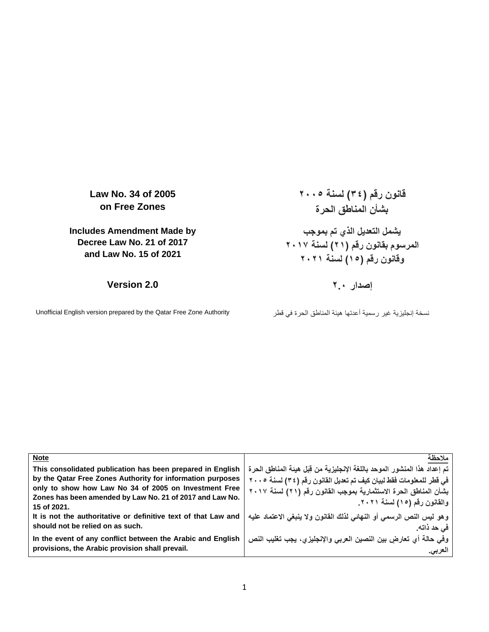**Law No. 34 of 2005 on Free Zones**

**Includes Amendment Made by Decree Law No. 21 of 2017 and Law No. 15 of 2021**

**إصدار 2.0 2.0 Version**

نسخة إنجليزية غير رسمية أعدتها هيئة المناطق الحرة في قطر Authority Zone Free Qatar the by prepared version English Unofficial

**قانون رقم )34( لسنة 2005 بشأن المناطق الحرة يشمل التعديل الذي تم بموجب المرسوم بقانون رقم )21( لسنة 2017 وقانون رقم )15( لسنة 2021**

| ملاحظة                                                                    |
|---------------------------------------------------------------------------|
| تم إعداد هذا المنشور الموحد باللغة الإنجليزية من فَبَل هيئة المناطق الحرة |
| في فطر للمعلومات فقط لبيان كيف تم تعديل القانون رقم (٣٤) لسنة ٢٠٠٥        |
| بشأن المناطق الحرة الاستثمارية بموجب القانون رقم (٢١) لسنة ٢٠١٧           |
| والقانون رقم (١٥) لسنة ٢٠٢١.                                              |
|                                                                           |
| وهو ليس النص الرسمي أو النهائي لذلك القانون ولا ينبغي الاعتماد عليه       |
| ِ في حد ذاته.                                                             |
| وفي حالة أي تعارض بين النصين العربي والإنجليزي، يجب تغليب النص            |
| العربي.                                                                   |
|                                                                           |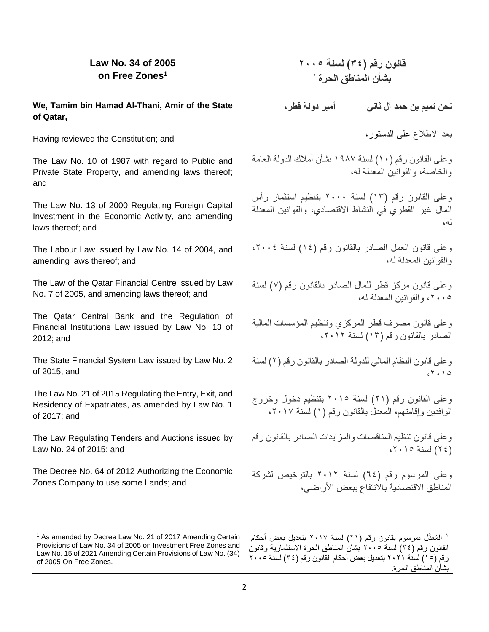**Law No. 34 of 2005 on Free Zones<sup>1</sup>**

**We, Tamim bin Hamad Al-Thani, Amir of the State of Qatar,**

Having reviewed the Constitution; and

The Law No. 10 of 1987 with regard to Public and Private State Property, and amending laws thereof; and

The Law No. 13 of 2000 Regulating Foreign Capital Investment in the Economic Activity, and amending laws thereof; and

The Labour Law issued by Law No. 14 of 2004, and amending laws thereof; and

The Law of the Qatar Financial Centre issued by Law No. 7 of 2005, and amending laws thereof; and

The Qatar Central Bank and the Regulation of Financial Institutions Law issued by Law No. 13 of 2012; and

The State Financial System Law issued by Law No. 2 of 2015, and

The Law No. 21 of 2015 Regulating the Entry, Exit, and Residency of Expatriates, as amended by Law No. 1 of 2017; and

The Law Regulating Tenders and Auctions issued by Law No. 24 of 2015; and

The Decree No. 64 of 2012 Authorizing the Economic Zones Company to use some Lands; and

**نحن تميم بن حمد آل ثاني أمير دولة قطر،** 

بعد االطالع على [الدستور،](https://almeezan.qa/LawPage.aspx?id=2284&language=ar) 

وعلى [القانون رقم \)10\( لسنة 1987](https://almeezan.qa/LawPage.aspx?id=2465&language=ar) بشأن أمالك الدولة العامة والخاصة، والقوانين المعدلة له،

وعلى [القانون رقم \)13\( لسنة 2000](https://almeezan.qa/LawPage.aspx?id=3959&language=ar) بتنظيم استثمار رأس المال غير القطري في النشاط االقتصادي، والقوانين المعدلة له،

وعلى [قانون العمل](https://almeezan.qa/LawPage.aspx?id=3961&language=ar) الصادر بالقانون رقم (١٤) لسنة ٢٠٠٤، والقوانين المعدلة له،

وعلى قانون مركز قطر للمال الصادر بالقانون رقم )7( لسنة ،2005 والقوانين المعدلة له،

وعلى [قانون مصرف قطر المركزي وتنظيم المؤسسات المالية](https://almeezan.qa/LawPage.aspx?id=4782&language=ar) الصادر بالقانون رقم (١٣) لسنة ٢٠١٢،

وعلى [قانون النظام المالي للدولة](https://almeezan.qa/LawPage.aspx?id=6642&language=ar) الصادر بالقانون رقم )2( لسنة  $.7.10$ 

وعلى [القانون رقم \)21\( لسنة 2015](https://almeezan.qa/LawPage.aspx?id=6809&language=ar) بتنظيم دخول وخروج الوافدين وإقامتهم، المعدل [بالقانون رقم \)1\( لسنة ،2017](https://almeezan.qa/LawPage.aspx?id=7155&language=ar) 

وعلى [قانون تنظيم المناقصات والمزايدات](https://almeezan.qa/LawPage.aspx?id=6812&language=ar) الصادر بالقانون رقم )24( لسنة ،2015

وعلى [المرسوم رقم \)64\( لسنة 2012](https://almeezan.qa/LawPage.aspx?id=4822&language=ar) بالترخيص لشركة المناطق الاقتصادية بالانتفاع ببعض الأر اضي،

| المُعدَّل بمرسوم بقانون رقم (٢١) لسنة ٢٠١٧ بتعديل بعض أحكام   As amended by Decree Law No. 21 of 2017 Amending Certain ا |                                                                  |
|--------------------------------------------------------------------------------------------------------------------------|------------------------------------------------------------------|
| Provisions of Law No. 34 of 2005 on Investment Free Zones and                                                            | القانون رقم (٣٤) لسنة ٢٠٠٥ بشأن المناطق الحرة الاستثمارية وقانون |
| Law No. 15 of 2021 Amending Certain Provisions of Law No. (34)<br>of 2005 On Free Zones.                                 | رقم (١٥) لسنة ٢٠٢١ بتعديل بعض أحكام القانون رقم (٣٤) لسنة ٢٠٠٥   |
|                                                                                                                          | بشأن المناطق الحر ة                                              |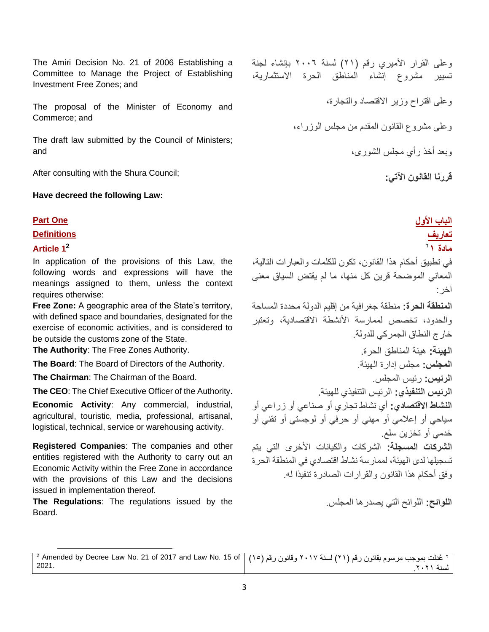The Amiri Decision No. 21 of 2006 Establishing a Committee to Manage the Project of Establishing Investment Free Zones; and

The proposal of the Minister of Economy and Commerce; and

The draft law submitted by the Council of Ministers; and

After consulting with the Shura Council;

**Have decreed the following Law:**

**[تعاريف](https://almeezan.qa/LawView.aspx?opt&LawID=270&language=ar) Definitions**

# **Article 1**

In application of the provisions of this Law, the following words and expressions will have the meanings assigned to them, unless the context requires otherwise:

**Free Zone:** A geographic area of the State's territory, with defined space and boundaries, designated for the exercise of economic activities, and is considered to be outside the customs zone of the State.

**Economic Activity**: Any commercial, industrial, agricultural, touristic, media, professional, artisanal, logistical, technical, service or warehousing activity.

**Registered Companies**: The companies and other entities registered with the Authority to carry out an Economic Activity within the Free Zone in accordance with the provisions of this Law and the decisions issued in implementation thereof.

**The Regulations**: The regulations issued by the Board.

وعلى القرار الأميري رقم (٢١) لسنة ٢٠٠٦ بإنشاء لجنة تسيير مشروع إنشاء المناطق الحرة االستثمارية، وعلى اقتراح وزير االقتصاد والتجارة، وعلى مشروع القانون المقدم من مجلس الوزراء، وبعد أخذ رأي مجلس الشورى،

**قررنا القانون اآلتي:**

# **[الباب األول](https://almeezan.qa/LawView.aspx?opt&LawID=270&language=ar) One Part**

# <mark>تعاريف</mark><br>ماد کا **[مادة](https://almeezan.qa/LawArticles.aspx?LawArticleID=74651&lawId=270&language=ar) [1](https://almeezan.qa/LawArticles.aspx?LawArticleID=74651&lawId=270&language=ar) <sup>2</sup>**

في تطبيق أحكام هذا القانون، تكون للكلمات والعبارات التالية، المعاني الموضحة قرين كل منها، ما لم يقتض السياق معنى آخر:

**المنطقة الحرة:** منطقة جغرافية من إقليم الدولة محددة المساحة والحدود، تخصص لممارسة األنشطة االقتصادية، وتعتبر خارج النطاق الجمركي للدولة. **The Authority**: The Free Zones Authority. . الحرة المناطق هيئة **:الهيئة The Board**: The Board of Directors of the Authority. .الهيئة إدارة مجلس **:المجلس The Chairman**: The Chairman of the Board. .المجلس رئيس **:الرئيس** ا**لرئيس التنفيذي:** الرئيس التنفيذي الميئة. هيئة التنفيذي التنفيذي الميئة التنفيذي التنفيذي التنفيذي الميئة المس **النشاط االقتصادي:** أي نشاط تجاري أو صناعي أو زراعي أو سياحي أو إعالمي أو مهني أو حرفي أو لوجستي أو تقني أو خدمي أو تخزين سلع. **الشركات المسجلة:** الشركات والكيانات األخرى التي يتم

تسجيلها لدى الهيئة، لممارسة نشاط اقتصادي في المنطقة الحرة وفق أحكام هذا القانون والقرارات الصادرة تنفيذا له.

**اللوائح:** اللوائح التي يصدرها المجلس .

<sup>2</sup> Amended by Decree Law No. 21 of 2017 and Law No. 15 of 2021. <sup>،</sup> عُدلت بموجب مرسوم بقانون رقم (٢١) لسنة ٢٠١٧ وقانون رقم (١٥) لسنة ٢٠٢١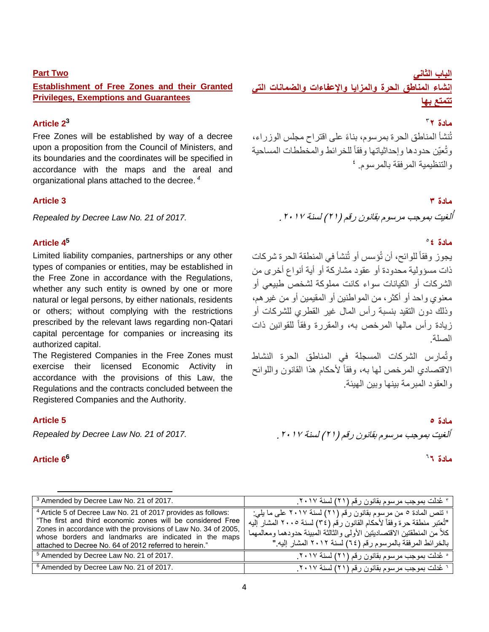**Establishment of Free Zones and their Granted Privileges, Exemptions and Guarantees**

### **Article 2**

Free Zones will be established by way of a decree upon a proposition from the Council of Ministers, and its boundaries and the coordinates will be specified in accordance with the maps and the areal and organizational plans attached to the decree. *<sup>4</sup>*

### **[مادة](https://almeezan.qa/LawArticles.aspx?LawArticleID=9274&lawId=270&language=ar) 3 3 Article**

*Repealed by Decree Law No. 21 of 2017.*

### **Article 4**

Limited liability companies, partnerships or any other types of companies or entities, may be established in the Free Zone in accordance with the Regulations, whether any such entity is owned by one or more natural or legal persons, by either nationals, residents or others; without complying with the restrictions prescribed by the relevant laws regarding non-Qatari capital percentage for companies or increasing its authorized capital.

The Registered Companies in the Free Zones must exercise their licensed Economic Activity in accordance with the provisions of this Law, the Regulations and the contracts concluded between the Registered Companies and the Authority.

### **Article 6**

**[الباب الثاني](https://almeezan.qa/LawView.aspx?opt&LawID=270&language=ar) Two Part [إنشاء المناطق الحرة والمزايا واإلعفاءات والضمانات التي](https://almeezan.qa/LawView.aspx?opt&LawID=270&language=ar)  [تتمتع بها](https://almeezan.qa/LawView.aspx?opt&LawID=270&language=ar)** 

### مادة ٢٢ **مادة 2 <sup>3</sup>**

تُنشأ المناطق الحرة بمرسوم، بناءً على اقتراح مجلس الوزراء، وتُعيّن حدودها وإحداثياتها وفقاً للخرائط والمخططات المساحية 4 والتنظيمية المرفقة بالمرسوم .

۶

ألغيت بموجب [مرسوم بقانون](https://almeezan.qa/LawPage.aspx?id=7422&language=ar) رقم (٢١) لسنة ٢٠١٧ .

### 5 **[مادة](https://almeezan.qa/LawArticles.aspx?LawArticleID=74651&lawId=270&language=ar) [4](https://almeezan.qa/LawArticles.aspx?LawArticleID=74651&lawId=270&language=ar) <sup>5</sup>**

يجوز وفقاً للوائح، أن تُؤسس أو تُنشأ في المنطقة الحرة شركات ذات مسؤولية محدودة أو عقود مشاركة أو أية أنواع أخرى من الشركات أو الكيانات سواء كانت مملوكة لشخص طبيعي أو معنوي واحد أو أكثر، من الموا طنين أو المقيمين أو من غيرهم، وذلك دون التقيد بنسبة رأس المال غير القطري للشركات أو زيادة رأس مالها المرخص به، والمقررة وفقا للقوانين ذات الصلة.

وت مارس الشركات المسجلة في المناطق الحرة النشاط الاقتصادي المرخص لها به، وفقاً لأحكام هذا القانون واللوائح والعقود المبرمة بينها وبين الهيئة.

**[مادة](https://almeezan.qa/LawArticles.aspx?LawArticleID=9274&lawId=270&language=ar) 5 5 Article** *ألغيت بموجب مرسوم بقانون رقم (٢١) لسنة ٢٠١٧.* . . . . . . Repealed by Decree Law No. 21 of 2017. ألغيت بموجب [مرسوم بقانون](https://almeezan.qa/LawPage.aspx?id=7422&language=ar)رقم (٢١) لسنة ٢٠١٧ .

### $\overline{1}$ **[مادة](https://almeezan.qa/LawArticles.aspx?LawArticleID=74651&lawId=270&language=ar) 6 <sup>6</sup>**

| <sup>3</sup> Amended by Decree Law No. 21 of 2017.                                                                                                                                                                                                                                                                           | ' عُدلت بموجب مرسوم بقانون رقم (٢١) لسنة ٢٠١٧.                                                                                                                                                                                                                                             |
|------------------------------------------------------------------------------------------------------------------------------------------------------------------------------------------------------------------------------------------------------------------------------------------------------------------------------|--------------------------------------------------------------------------------------------------------------------------------------------------------------------------------------------------------------------------------------------------------------------------------------------|
| <sup>4</sup> Article 5 of Decree Law No. 21 of 2017 provides as follows:<br>"The first and third economic zones will be considered Free<br>Zones in accordance with the provisions of Law No. 34 of 2005,<br>whose borders and landmarks are indicated in the maps<br>attached to Decree No. 64 of 2012 referred to herein." | <sup>؛</sup> تنص المادة ٥ من مرسوم بقانون رقم (٢١) لسنة ٢٠١٧ على ما يلي:<br>"تُعتبر منطقة حرة وفقاً لأحكام القانون رقم (٣٤) لسنة ٢٠٠٥ المشار إليه<br>كلأ من المنطقتين الاقتصاديتين الأولى والثالثة المبينة حدودهما ومعالمهما<br>بالخرائط المرفقة بالمرسوم رقم (٦٤) لسنة ٢٠١٢ المشار إليه " |
| <sup>5</sup> Amended by Decree Law No. 21 of 2017.                                                                                                                                                                                                                                                                           | ° عُدلت بموجب مرسوم بقانون رقم (٢١) لسنة ٢٠١٧.                                                                                                                                                                                                                                             |
| <sup>6</sup> Amended by Decree Law No. 21 of 2017.                                                                                                                                                                                                                                                                           | <sup>٦</sup> عُدلت بموجب مرسوم بقانون رقم (٢١) لسنة ٢٠١٧.                                                                                                                                                                                                                                  |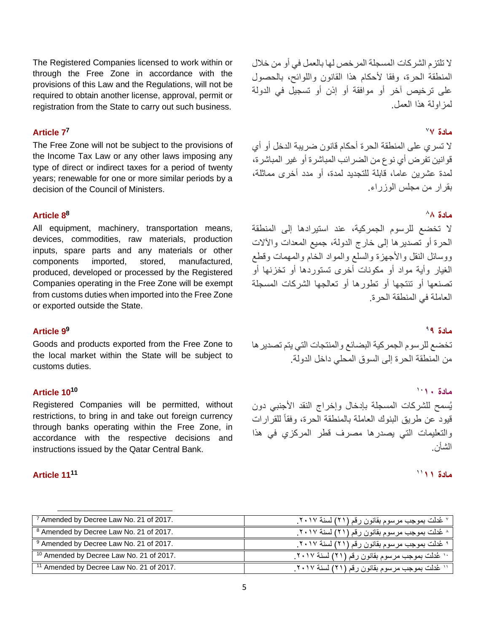The Registered Companies licensed to work within or through the Free Zone in accordance with the provisions of this Law and the Regulations, will not be required to obtain another license, approval, permit or registration from the State to carry out such business.

# **Article 7**

The Free Zone will not be subject to the provisions of the Income Tax Law or any other laws imposing any type of direct or indirect taxes for a period of twenty years; renewable for one or more similar periods by a decision of the Council of Ministers.

### **Article 8**

All equipment, machinery, transportation means, devices, commodities, raw materials, production inputs, spare parts and any materials or other components imported, stored, manufactured, produced, developed or processed by the Registered Companies operating in the Free Zone will be exempt from customs duties when imported into the Free Zone or exported outside the State.

### **Article 9**

Goods and products exported from the Free Zone to the local market within the State will be subject to customs duties.

Registered Companies will be permitted, without restrictions, to bring in and take out foreign currency through banks operating within the Free Zone, in accordance with the respective decisions and instructions issued by the Qatar Central Bank.

# **[مادة](https://almeezan.qa/LawArticles.aspx?LawArticleID=74651&lawId=270&language=ar) [11](https://almeezan.qa/LawArticles.aspx?LawArticleID=74651&lawId=270&language=ar) 11<sup>11</sup> Article**

ال تلتزم الشركات المسجلة المرخص لها بالعمل في أو من خالل المنطقة الحرة، وفقا ألحكام هذا القانون واللوائح، بالحصول على ترخيص آخر أو موافقة أو إذن أو تسجيل في الدولة لمزاولة هذا العمل.

### $Y$ مادة  $Y^{\vee}$ **[مادة](https://almeezan.qa/LawArticles.aspx?LawArticleID=74651&lawId=270&language=ar) [7](https://almeezan.qa/LawArticles.aspx?LawArticleID=74651&lawId=270&language=ar) <sup>7</sup>**

ال تسري على المنطقة الحرة أحكام قانون ضريبة الدخل أو أي قوانين تفرض أي نوع من الضرائب المباشرة أو غير المباشرة، لمدة عشرين عاما، قابلة للتجديد لمدة، أو مدد أخرى مماثلة، بقرار من مجلس الوزراء.

### $\lambda$ **[مادة](https://almeezan.qa/LawArticles.aspx?LawArticleID=74651&lawId=270&language=ar) 8 <sup>8</sup>**

ال تخضع للرسوم الجمركية، عند استيرادها إلى المنطقة الحرة أو تصديرها إلى خارج الدولة، جميع المعدات واآلالت ووسائل النقل والأجهزة والسلع والمواد الخام والمهمات وقطع الغيار وأية مواد أو مكونات أخرى تستوردها أو تخزنها أو تصنعها أو تنتجها أو تطورها أو تعالجها الشركات المسجلة العاملة في المنطقة الحرة .

### مادة ٩٩ **[مادة](https://almeezan.qa/LawArticles.aspx?LawArticleID=74651&lawId=270&language=ar) [9](https://almeezan.qa/LawArticles.aspx?LawArticleID=74651&lawId=270&language=ar) <sup>9</sup>**

تخضع للرسوم الجمركية البضائع والمنتجات التي يتم تصديرها من المنطقة الحرة إلى السوق المحلي داخل الدولة.

### $\mathcal{L}$ **[مادة](https://almeezan.qa/LawArticles.aspx?LawArticleID=74651&lawId=270&language=ar) 10 10<sup>10</sup> Article**

يُسمح للشركات المسجلة بإدخال وإخراج النقد الأجنبي دون قيود عن طريق البنوك العاملة بالمنطقة الحرة، وفقا للقرارات والتعليمات التي يصدرها مصرف قطر المركزي في هذا الشأن.

### مادة ١١١'

| <sup>7</sup> Amended by Decree Law No. 21 of 2017.  | ٢ عُدلت بموجب مرسوم بقانون رقم (٢١) لسنة ٢٠١٧.  |
|-----------------------------------------------------|-------------------------------------------------|
| <sup>8</sup> Amended by Decree Law No. 21 of 2017.  | ^ عُدلت بموجب مرسوم بقانون رقم (٢١) لسنة ٢٠١٧.  |
| <sup>9</sup> Amended by Decree Law No. 21 of 2017.  | عُدلت بموجب مرسوم بقانون رقم (٢١) لسنة ٢٠١٧.    |
| <sup>10</sup> Amended by Decree Law No. 21 of 2017. | ١ عُدلت بموجب مرسوم بقانون رقم (٢١) لسنة ٢٠١٧.  |
| <sup>11</sup> Amended by Decree Law No. 21 of 2017. | '' عُدلت بموجب مرسوم بقانون رقم (٢١) لسنة ٢٠١٧. |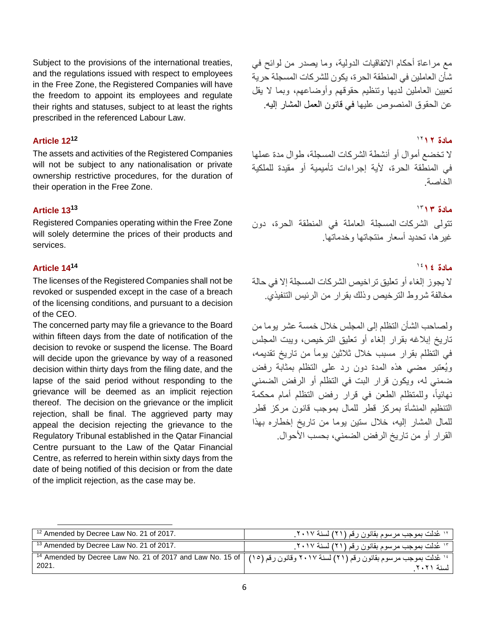Subject to the provisions of the international treaties, and the regulations issued with respect to employees in the Free Zone, the Registered Companies will have the freedom to appoint its employees and regulate their rights and statuses, subject to at least the rights prescribed in the referenced Labour Law.

# **[مادة](https://almeezan.qa/LawArticles.aspx?LawArticleID=74651&lawId=270&language=ar) 12 12<sup>12</sup> Article**

The assets and activities of the Registered Companies will not be subject to any nationalisation or private ownership restrictive procedures, for the duration of their operation in the Free Zone.

# **[مادة](https://almeezan.qa/LawArticles.aspx?LawArticleID=74651&lawId=270&language=ar) 13 13<sup>13</sup> Article**

Registered Companies operating within the Free Zone will solely determine the prices of their products and services.

# **[مادة](https://almeezan.qa/LawArticles.aspx?LawArticleID=74651&lawId=270&language=ar) 14 14<sup>14</sup> Article**

The licenses of the Registered Companies shall not be revoked or suspended except in the case of a breach of the licensing conditions, and pursuant to a decision of the CEO.

The concerned party may file a grievance to the Board within fifteen days from the date of notification of the decision to revoke or suspend the license. The Board will decide upon the grievance by way of a reasoned decision within thirty days from the filing date, and the lapse of the said period without responding to the grievance will be deemed as an implicit rejection thereof. The decision on the grievance or the implicit rejection, shall be final. The aggrieved party may appeal the decision rejecting the grievance to the Regulatory Tribunal established in the Qatar Financial Centre pursuant to the Law of the Qatar Financial Centre, as referred to herein within sixty days from the date of being notified of this decision or from the date of the implicit rejection, as the case may be.

مع مراعاة أحكام االتفاقيات الدولية، وما يصدر من لوائح في شأن العاملين في المنطقة الحرة، يكون للشركات المسجلة حرية تعيين العاملين لديها وتنظيم حقوقهم وأوضاعهم، وبما ال يقل عن الحقوق المنصوص عليها في قانون [العمل](https://almeezan.qa/LawPage.aspx?id=3961&language=ar) المشار إليه.

# $\frac{1}{2}$

ال تخضع أموال أو أنشطة الشركات المسجلة، طوال مدة عملها في المنطقة الحرة، ألية إجراءات تأميمية أو مقيدة للملكية الخاصة.

# $\mathcal{L}$

تتولى الشركات المسجلة العاملة في المنطقة الحرة، دون غيرها، تحديد أسعار منتجاتها وخدماتها.

# $\frac{1}{2}$

ال يجوز إلغاء أو تعليق تراخيص الشركات المسجلة إال في حالة مخالفة شروط الترخيص وذلك بقرار من الرئيس التنفيذي.

ولصاحب الشأن التظلم إلى المجلس خالل خمسة عشر يوما من تاريخ إبالغه بقرار إلغاء أو تعليق الترخيص، ويبت المجلس في التظلم بقرار مسبب خالل ثالثين يومأ من تاريخ تقديمه، وي عتبر مضي هذه المدة دون رد على التظلم بمثابة رفض ضمني له، ويكون قرار البت في التظلم أو الرفض الضمني نهائياً، وللمتظلم الطعن في قرار رفض التظلم أمام محكمة التنظيم المنشأة بمركز قطر للمال بموجب قانون مركز قطر للمال المشار إليه، خالل ستين يوما من تاريخ إخطاره بهذا القرار أو من تاريخ الرفض الضمني، بحسب األحوال.

| <sup>12</sup> Amended by Decree Law No. 21 of 2017.                                                                                 | ١٢ عُدلت بموجب مرسوم بقانون رقم (٢١) لسنة ٢٠١٧. |
|-------------------------------------------------------------------------------------------------------------------------------------|-------------------------------------------------|
| <sup>13</sup> Amended by Decree Law No. 21 of 2017.                                                                                 | ١٣ عُدلت بموجب مرسوم بقانون رقم (٢١) لسنة ٢٠١٧. |
| 1⁄2 عُنلت بموجب مرسوم بقانون رقم (٢١) لسنة ٢٠١٧ وقانون رقم (١٥)   Amended by Decree Law No. 21 of 2017 and Law No. 15 of أ<br>2021. | السنة ٢٠٢١                                      |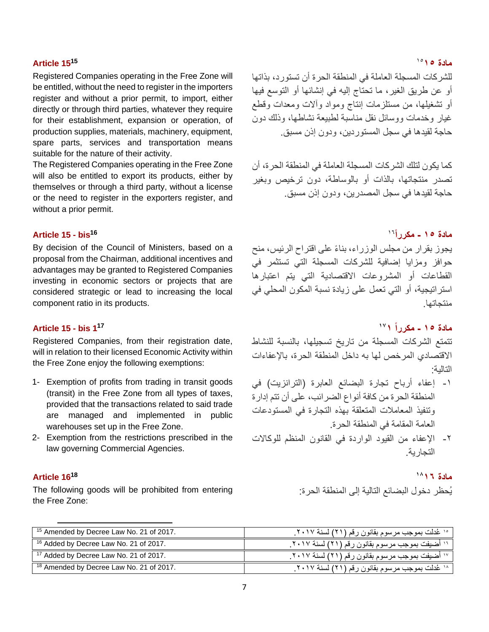# **[مادة](https://almeezan.qa/LawArticles.aspx?LawArticleID=74651&lawId=270&language=ar) 15 15<sup>15</sup> Article**

Registered Companies operating in the Free Zone will be entitled, without the need to register in the importers register and without a prior permit, to import, either directly or through third parties, whatever they require for their establishment, expansion or operation, of production supplies, materials, machinery, equipment, spare parts, services and transportation means suitable for the nature of their activity.

The Registered Companies operating in the Free Zone will also be entitled to export its products, either by themselves or through a third party, without a license or the need to register in the exporters register, and without a prior permit.

# **Article 15 - bis<sup>16</sup>**

By decision of the Council of Ministers, based on a proposal from the Chairman, additional incentives and advantages may be granted to Registered Companies investing in economic sectors or projects that are considered strategic or lead to increasing the local component ratio in its products.

### **Article 15 - bis 1**

Registered Companies, from their registration date, will in relation to their licensed Economic Activity within the Free Zone enjoy the following exemptions:

- 1- Exemption of profits from trading in transit goods (transit) in the Free Zone from all types of taxes, provided that the transactions related to said trade are managed and implemented in public warehouses set up in the Free Zone.
- 2- Exemption from the restrictions prescribed in the law governing Commercial Agencies.

# **[مادة](https://almeezan.qa/LawArticles.aspx?LawArticleID=74651&lawId=270&language=ar) [16](https://almeezan.qa/LawArticles.aspx?LawArticleID=74651&lawId=270&language=ar) 16<sup>18</sup> Article**

The following goods will be prohibited from entering the Free Zone:

### مادة ١٥/٠٠

للشركات المسجلة العاملة في المنطقة الحرة أن تستورد، بذاتها أو عن طريق الغير، ما تحتاج إليه في إنشائها أو التوسع فيها أو تشغيلها، من مستلزمات إنتاج ومواد وألات ومعدات وقطع غيار وخدمات ووسائل نقل مناسبة لطبيعة نشاطها، وذلك دون حاجة لقيدها في سجل المستوردين، ودون إذن مسبق.

كما يكون لتلك الشركات المسجلة العاملة في المنطقة الحرة، أن تصدر منتجاتها، بالذات أو بالوساطة، دون ترخيص وبغير حاجة لقيدها في سجل المصدرين، ودون إذن مسبق.

# 16 **مادة 15 - مكررا**

يجوز بقرار من مجلس الوزراء، بنا ء على اقتراح الرئيس، منح حوافز ومزايا إضافية للشركات المسجلة التي تستثمر في القطاعات أو المشروعات االقتصادية التي يتم اعتبارها استراتيجية، أو التي تعمل على زيادة نسبة المكون المحلي في منتجاتها.

# **17 مادة 15 - مكررا 1 <sup>17</sup>**

تتمتع الشركات المسجلة من تاريخ تسجيلها، بالنسبة للنشاط االقتصادي المرخص لها به داخل المنطقة الحرة، باإلعفاءات التالية:

- -1 إعفاء أرباح تجارة البضائع العابرة )الترانزيت( في المنطقة الحرة من كافة أنواع الضرائب، على أن تتم إدارة وتنفيذ المعامالت المتعلقة بهذه التجارة في المستودعات العامة المقامة في المنطقة الحرة .
- -2 اإلعفاء من القيود الواردة في القانون المنظم للوكاالت التجارية.

### مادة **١**٠١٦

ي حظر دخول البضائع التالية إلى المنطقة الحرة :

| <sup>15</sup> Amended by Decree Law No. 21 of 2017. | 10 عُدلت بموجب مرسوم بقانون رقم (٢١) لسنة ٢٠١٧. |
|-----------------------------------------------------|-------------------------------------------------|
| <sup>16</sup> Added by Decree Law No. 21 of 2017.   | ١٦ أضيفت بموجب مرسوم بقانون رقم (٢١) لسنة ٢٠١٧. |
| <sup>17</sup> Added by Decree Law No. 21 of 2017.   | ١٧ أضيفت بموجب مرسوم بقانون رقم (٢١) لسنة ٢٠١٧. |
| <sup>18</sup> Amended by Decree Law No. 21 of 2017. | ۱۸ عُدلت بموجب مرسوم بقانون رقم (۲۱) لسنة ۲۰۱۷. |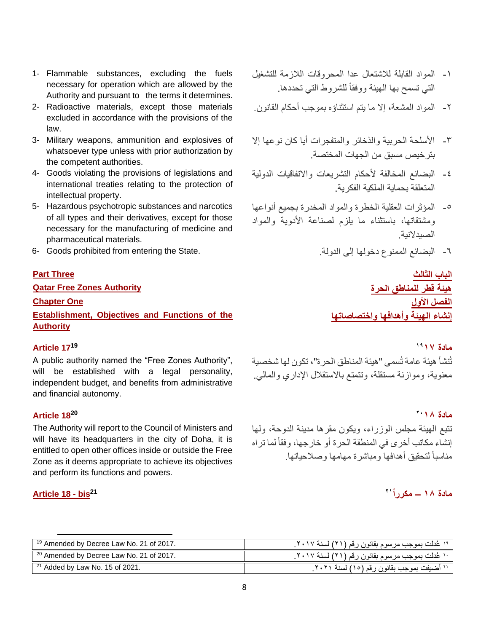- 1- Flammable substances, excluding the fuels necessary for operation which are allowed by the Authority and pursuant to the terms it determines.
- 2- Radioactive materials, except those materials excluded in accordance with the provisions of the law.
- 3- Military weapons, ammunition and explosives of whatsoever type unless with prior authorization by the competent authorities.
- 4- Goods violating the provisions of legislations and international treaties relating to the protection of intellectual property.
- 5- Hazardous psychotropic substances and narcotics of all types and their derivatives, except for those necessary for the manufacturing of medicine and pharmaceutical materials.
- 6- Goods prohibited from entering the State. .الدولة إلى دخولها الممنوع البضائع -6

**Establishment, Objectives and Functions of the Authority**

# **[مادة](https://almeezan.qa/LawArticles.aspx?LawArticleID=74651&lawId=270&language=ar) [17](https://almeezan.qa/LawArticles.aspx?LawArticleID=74651&lawId=270&language=ar) 17<sup>19</sup> Article**

A public authority named the "Free Zones Authority", will be established with a legal personality, independent budget, and benefits from administrative and financial autonomy.

The Authority will report to the Council of Ministers and will have its headquarters in the city of Doha, it is entitled to open other offices inside or outside the Free Zone as it deems appropriate to achieve its objectives and perform its functions and powers.

## **Article 18 - bis<sup>21</sup>**

- -1 المواد القابلة لالشتعال عدا المحروقات الالزمة للتشغيل التي تسمح بها الهيئة ووفقاً للشر وط التي تحددها.
- -2 المواد المشعة، إال ما يتم استثناؤه بموجب أحكام القانون.
- -3 األسلحة الحربية والذخائر والمتفجرات أيا كان نوعها إال بترخيص مسبق من الجهات المختصة.
- ٤- البضائع المخالفة لأحكام التشريعات والاتفاقيات الدولية المتعلقة بحماية الملكية الفكرية .
- -5 المؤثرات العقلية الخطرة والمواد المخدرة بجميع أنواعها ومشتقاتها، باستثناء ما يلزم لصناعة األدوية والمواد الصيدالنية.
	-

# **[الباب الثالث](https://almeezan.qa/LawView.aspx?opt&LawID=270&language=ar) Three Part هيئة قطر [للمناطق](https://almeezan.qa/LawView.aspx?opt&LawID=270&language=ar) الحرة Authority Zones Free Qatar [الفصل](https://almeezan.qa/LawView.aspx?opt&LawID=270&language=ar) األول One Chapter إنشاء الهيئة وأهدافها [واختصاصاتها](https://almeezan.qa/LawView.aspx?opt&LawID=270&language=ar)**

### مادة ١٩١٢

تُنشأ هيئة عامة تُسمى "هيئة المناطق الحررة"، تكون لها شخصية معنوية، وموازنة مستقلة، وتتمتع باالستقالل اإلداري والمالي.

## $\mathbf{X} \cdot \mathbf{A} \times \mathbf{A}$  **[مادة](https://almeezan.qa/LawArticles.aspx?LawArticleID=74651&lawId=270&language=ar) 18 18<sup>20</sup> Article** تتبع الهيئة مجلس الوزراء، ويكون مقرها مدينة الدوحة، ولها إنشاء مكاتب أخرى في المنطقة الحرة أو خارجها، وفقاً لما تر اه مناسبا لتحقيق أهدافها ومباشرة مهامها وصالحياتها.

# **21 مادة 18 – مكررا**

| <sup>19</sup> Amended by Decree Law No. 21 of 2017. | <sup>۱۹</sup> عُدلت بموجب مرسوم بقانون رقم (۲۱) لسنة ۲۰۱۷. |
|-----------------------------------------------------|------------------------------------------------------------|
| <sup>20</sup> Amended by Decree Law No. 21 of 2017. | ٬۰ عُدلت بموجب مرسوم بقانون رقم (۲۱) لسنة ۲۰۱۷.            |
| $21$ Added by Law No. 15 of 2021.                   | `` أضيفت بموجب بقانون رقم (١٥) لسنة ٢٠٢١.                  |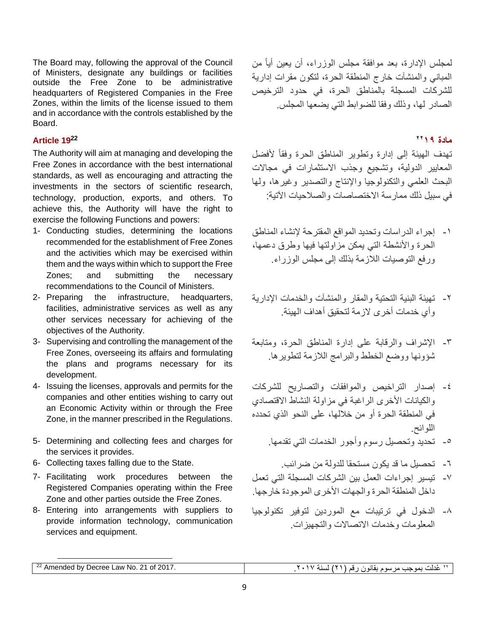The Board may, following the approval of the Council of Ministers, designate any buildings or facilities outside the Free Zone to be administrative headquarters of Registered Companies in the Free Zones, within the limits of the license issued to them and in accordance with the controls established by the Board.

# **[مادة](https://almeezan.qa/LawArticles.aspx?LawArticleID=74651&lawId=270&language=ar) 19 19<sup>22</sup> Article**

The Authority will aim at managing and developing the Free Zones in accordance with the best international standards, as well as encouraging and attracting the investments in the sectors of scientific research, technology, production, exports, and others. To achieve this, the Authority will have the right to exercise the following Functions and powers:

- 1- Conducting studies, determining the locations recommended for the establishment of Free Zones and the activities which may be exercised within them and the ways within which to support the Free Zones; and submitting the necessary recommendations to the Council of Ministers.
- 2- Preparing the infrastructure, headquarters, facilities, administrative services as well as any other services necessary for achieving of the objectives of the Authority.
- 3- Supervising and controlling the management of the Free Zones, overseeing its affairs and formulating the plans and programs necessary for its development.
- 4- Issuing the licenses, approvals and permits for the companies and other entities wishing to carry out an Economic Activity within or through the Free Zone, in the manner prescribed in the Regulations.
- 5- Determining and collecting fees and charges for the services it provides.
- 
- 7- Facilitating work procedures between the Registered Companies operating within the Free Zone and other parties outside the Free Zones.
- 8- Entering into arrangements with suppliers to provide information technology, communication services and equipment.

لمجلس اإلدارة، بعد موافقة مجلس الوزراء، أن يعين أيا من المباني والمنشآت خارج المنطقة الحرة، لتكون مقرات إدارية للشركات المسجلة بالمناطق الحرة، في حدود الترخيص الصادر لها، وذلك وفقا للضوابط التي يضعها المجلس.

### ملا**دة ١٦٩**

تهدف الهيئة إلى إدارة وتطوير المناطق الحرة وفقاً لأفضل المعايير الدولية، وتشجيع وجذب االستثمارات في مجاالت البحث العلمي والتكنولوجيا واإلنتاج والتصدير وغيرها، ولها في سبيل ذلك ممارسة االختصاصات والصالحيات اآلتية:

- -1 إجراء الدراسات وتحديد المواقع المقترحة إلنشاء المناطق الحرة واألنشطة التي يمكن مزاولتها فيها وطرق دعمها، ورفع التوصيات الالزمة بذلك إلى مجلس الوزراء.
- -2 تهيئة البنية التحتية والمقار والمنشآت والخدمات اإلدارية وأي خدمات أخرى الزمة لتحقيق أهداف الهيئة.
- -3 اإلشراف والرقابة على إدارة المناطق الحرة، ومتابعة شؤونها ووضع الخطط والبرامج الالزمة لتطويرها.
- -4 إصدار التراخيص والموافقات والتصاريح للشركات والكيانات الأخرى الراغبة في مزاولة النشاط الاقتصادي في المنطقة الحرة أو من خاللها، على النحو الذي تحدده اللوائح.
	- -5 تحديد وتحصيل رسوم وأجور الخدمات التي تقدمها.
- -6 تحصيل ما قد يكون مستحقا للدولة من ضرائب. .State the to due falling taxes Collecting 6-
	- -7 تيسير إجراءات العمل بين الشركات المسجلة التي تعمل داخل المنطقة الحرة والجهات الأخرى الموجودة خارجها.
	- -8 الدخول في ترتيبات مع الموردين لتوفير تكنولوجيا المعلومات وخدمات االتصاالت والتجهيزات.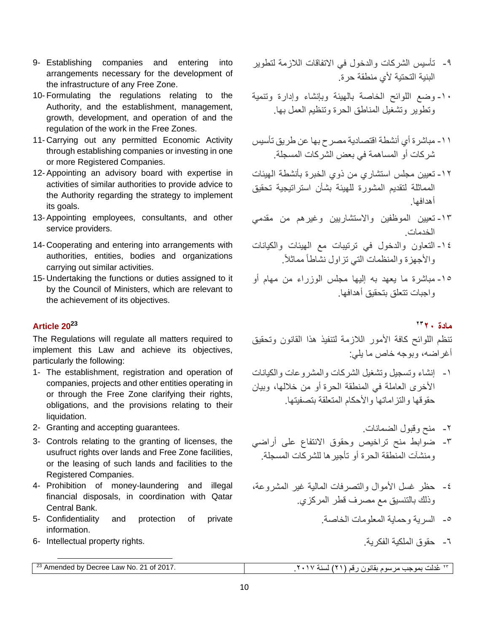- 9- Establishing companies and entering into arrangements necessary for the development of the infrastructure of any Free Zone.
- 10- Formulating the regulations relating to the Authority, and the establishment, management, growth, development, and operation of and the regulation of the work in the Free Zones.
- 11- Carrying out any permitted Economic Activity through establishing companies or investing in one or more Registered Companies.
- 12- Appointing an advisory board with expertise in activities of similar authorities to provide advice to the Authority regarding the strategy to implement its goals.
- 13- Appointing employees, consultants, and other service providers.
- 14- Cooperating and entering into arrangements with authorities, entities, bodies and organizations carrying out similar activities.
- 15- Undertaking the functions or duties assigned to it by the Council of Ministers, which are relevant to the achievement of its objectives.

# **[مادة](https://almeezan.qa/LawArticles.aspx?LawArticleID=74651&lawId=270&language=ar) 20 20<sup>23</sup> Article**

The Regulations will regulate all matters required to implement this Law and achieve its objectives, particularly the following:

- 1- The establishment, registration and operation of companies, projects and other entities operating in or through the Free Zone clarifying their rights, obligations, and the provisions relating to their liquidation.
- 2- Granting and accepting guarantees. .الضمانات وقبول منح -2
- 3- Controls relating to the granting of licenses, the usufruct rights over lands and Free Zone facilities, or the leasing of such lands and facilities to the Registered Companies.
- 4- Prohibition of money-laundering and illegal financial disposals, in coordination with Qatar Central Bank.
- 5- Confidentiality and protection of private information.
- -6 حقوق الملكية الفكرية. .rights property Intellectual 6-
- -9 تأسيس الشركات والدخول في االتفاقات الالزمة لتطوير البنية التحتية لأي منطقة حر ة.
- -10 وضع اللوائح الخاصة بالهيئة وبإنشاء وإدارة وتنمية وتطوير وتشغيل المناطق الحرة وتنظيم العمل بها.
- -11 مباشرة أي أنشطة اقتصادية مصرح بها عن طريق تأسيس شركات أو المساهمة في بعض الشركات المسجلة.
- -12 تعيين مجلس استشاري من ذوي الخبرة بأنشطة الهيئات المماثلة لتقديم المشورة للهيئة بشأن استراتيجية تحقيق أهدافها.
- -13 تعيين الموظفين واالستشاريين وغيرهم من مقدمي الخدمات.
- -14 التعاون والدخول في ترتيبات مع الهيئات والكيانات والأجهزة والمنظمات التي تزاول نشاطاً مماثلاً.
- -15 مباشرة ما يعهد به إليها مجلس الوزراء من مهام أو واجبات تتعلق بتحقيق أهدافها.

# ملاة ٢٣**٢**

تنظم اللوائح كافة الأمور اللازمة لتنفيذ هذا القانون وتحقيق أغراضه، وبوجه خاص ما يلي:

- -1 إنشاء وتسجيل وتشغيل الشركات والمشروعات والكيانات األخرى العاملة في المنطقة الحرة أو من خاللها، وبيان حقوقها والتزاماتها واألحكام المتعلقة بتصفيتها.
	-
- -3 ضوابط منح تراخيص وحقوق االنتفاع على أراضي ومنشآت المنطقة الحرة أو تأجيرها للشركات المسجلة.
- -4 حظر غسل األموال والتصرفات المالية غير المشروعة، وذلك بالتنسيق مع مصرف قطر المركزي.
	- -5 السرية وحماية المعلومات الخاصة.
		-

<sup>23</sup> Amended by Decree Law No. 21 of 2017. ت <sup>23</sup> عدل بموجب مرسوم بقانون رقم )21( لسنة .2017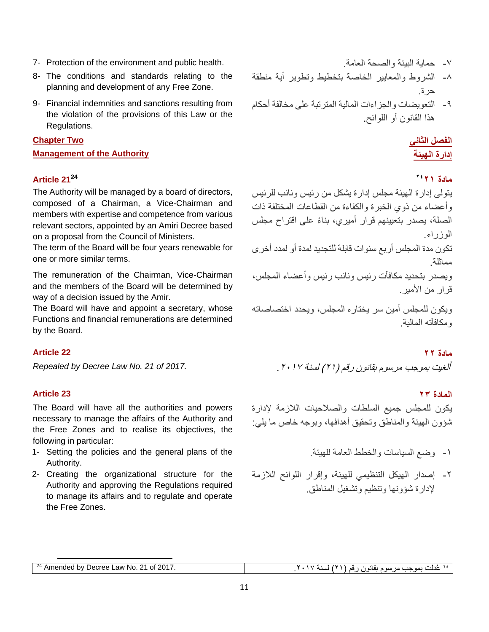- 7- Protection of the environment and public health. .العامة والصحة البيئة حماية -7
- 8- The conditions and standards relating to the planning and development of any Free Zone.
- 9- Financial indemnities and sanctions resulting from the violation of the provisions of this Law or the Regulations.

# **[الفصل](https://almeezan.qa/LawView.aspx?opt&LawID=270&language=ar) الثاني Two Chapter**

### **Management of the Authority [الهيئة إدارة](https://almeezan.qa/LawView.aspx?opt&LawID=270&language=ar)**

# **[مادة](https://almeezan.qa/LawArticles.aspx?LawArticleID=74651&lawId=270&language=ar) 21 21<sup>24</sup> Article**

The Authority will be managed by a board of directors, composed of a Chairman, a Vice-Chairman and members with expertise and competence from various relevant sectors, appointed by an Amiri Decree based on a proposal from the Council of Ministers.

The term of the Board will be four years renewable for one or more similar terms.

The remuneration of the Chairman, Vice-Chairman and the members of the Board will be determined by way of a decision issued by the Amir.

The Board will have and appoint a secretary, whose Functions and financial remunerations are determined by the Board.

# **[مادة](https://almeezan.qa/LawArticles.aspx?LawArticleID=9274&lawId=270&language=ar) 22 22 Article**

# **المادة 23 23 Article**

The Board will have all the authorities and powers necessary to manage the affairs of the Authority and the Free Zones and to realise its objectives, the following in particular:

- 1- Setting the policies and the general plans of the Authority.
- 2- Creating the organizational structure for the Authority and approving the Regulations required to manage its affairs and to regulate and operate the Free Zones.
- 
- -8 الشروط والمعايير الخاصة بتخطيط وتطوير أية منطقة حرة .
- -9 التعويضات والجزاءات المالية المترتبة على مخالفة أحكام هذا القانون أو اللوائح.

# علاق ٢<sup>٤</sup> ٢

يتولى إدارة الهيئة مجلس إدارة يشكل من رئيس ونائب للرئيس وأعضاء من ذوي الخبرة والكفاءة من القطاعات المختلفة ذات الصلة، يصدر بتعيينهم قرار أميري، بناءً على اقتراح مجلس الوزراء. تكون مدة المجلس أربع سنوات قابلة للتجديد لمدة أو لمدد أخرى مماثلة.

ويصدر بتحديد مكافآت رئيس ونائب رئيس وأعضاء المجلس، قرار من الأمير .

ويكون للمجلس أمين سر يختاره المجلس، ويحدد اختصاصاته ومكافآته المالية.

*Repealed by Decree Law No. 21 of 2017.* لغيت ألغيت بموجب [مرسوم بقانون](https://almeezan.qa/LawPage.aspx?id=7422&language=ar)رقم (٢١) لسنة ٢٠١٧ .

يكون للمجلس جميع السلطات والصالحيات الالزمة إلدارة شؤون الهيئة والمناطق وتحقيق أهدافها، وبوجه خاص ما يلي:

-1 وضع السياسات والخطط العامة للهيئة.

-2 إصدار الهيكل التنظيمي للهيئة، وإقرار اللوائح الالزمة إلدارة شؤونها وتنظيم وتشغيل المناطق.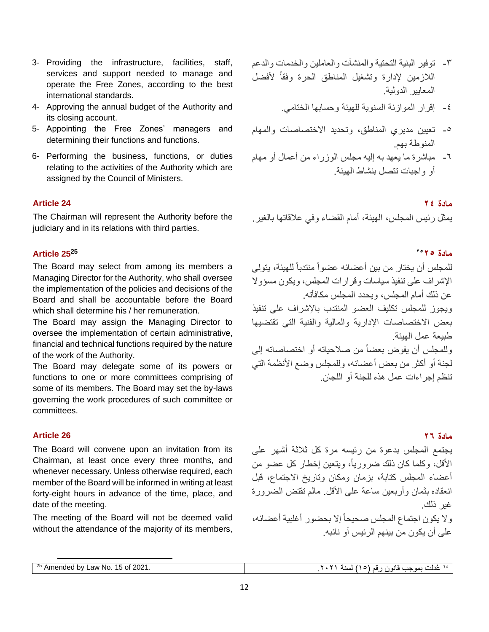- 3- Providing the infrastructure, facilities, staff, services and support needed to manage and operate the Free Zones, according to the best international standards.
- 4- Approving the annual budget of the Authority and its closing account.
- 5- Appointing the Free Zones' managers and determining their functions and functions.
- 6- Performing the business, functions, or duties relating to the activities of the Authority which are assigned by the Council of Ministers.

# **مادة 24 24 Article**

The Chairman will represent the Authority before the judiciary and in its relations with third parties.

# **مادة 25 25<sup>25</sup> Article**

The Board may select from among its members a Managing Director for the Authority, who shall oversee the implementation of the policies and decisions of the Board and shall be accountable before the Board which shall determine his / her remuneration.

The Board may assign the Managing Director to oversee the implementation of certain administrative, financial and technical functions required by the nature of the work of the Authority.

The Board may delegate some of its powers or functions to one or more committees comprising of some of its members. The Board may set the by-laws governing the work procedures of such committee or committees.

# **مادة 26 26 Article**

The Board will convene upon an invitation from its Chairman, at least once every three months, and whenever necessary. Unless otherwise required, each member of the Board will be informed in writing at least forty-eight hours in advance of the time, place, and date of the meeting.

The meeting of the Board will not be deemed valid without the attendance of the majority of its members,

- -3 توفير البنية التحتية والمنشآت والعاملين والخدمات والدعم اللازمين لإدارة وتشغيل المناطق الحرة وفقأ لأفضل المعايير الدولية.
	- -4 إقرار الموازنة السنوية للهيئة وحسابها الختامي.
- -5 تعيين مديري المناطق، وتحديد االختصاصات والمهام المنوطة بهم .
- -6 مباشرة ما يعهد به إليه مجلس الوزراء من أعمال أو مهام أو واجبات تتصل بنشاط الهيئة.

يمثل رئيس المجلس، الهيئة، أمام القضاء وفي عالقاتها بالغير.

# ملا**دة** ٢٠٢

للمجلس أن يختار من بين أعضائه عضواً منتدباً للهيئة، يتولى اإلشراف على تنفيذ سياسات وقرارات المجلس، ويكون مسؤوال عن ذلك أمام المجلس، ويحدد المجلس مكافأته. ويجوز للمجلس تكليف العضو المنتدب باإلشراف على تنفيذ بعض االختصاصات اإلدارية والمالية والفنية التي تقتضيها طبيعة عمل الهيئة. وللمجلس أن يفوض بعضا من صالحياته أو اختصاصاته إلى لجنة أو أكثر من بعض أعضائه، وللمجلس وضع الأنظمة التي تنظم إجراءات عمل هذه للجنة أو اللجان.

يجتمع المجلس بدعوة من رئيسه مرة كل ثالثة أشهر على الأقل، وكلما كان ذلك ضرورياً، ويتعين إخطار كل عضو من أعضاء المجلس كتابة، بزمان ومكان وتاريخ االجتماع، قبل انعقاده بثمان وأربعين ساعة على الأقل. مالم تقتض الضرورة غير ذلك.

وال يكون اجتماع المجلس صحيحا إال بحضور أغلبية أعضائه، على أن يكون من بينهم الرئيس أو نائبه.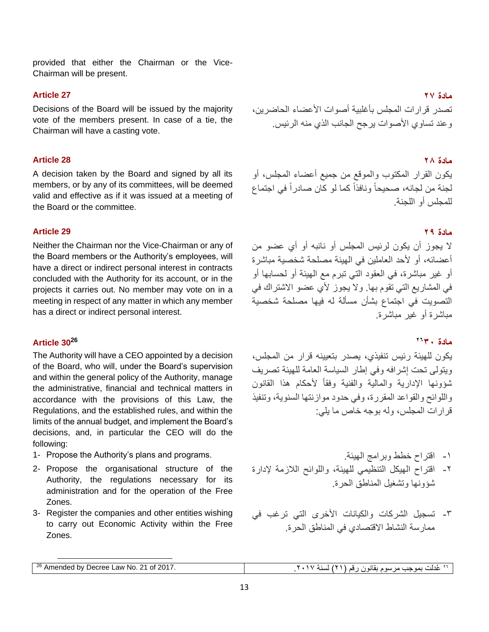provided that either the Chairman or the Vice-Chairman will be present.

# **مادة 27 27 Article**

Decisions of the Board will be issued by the majority vote of the members present. In case of a tie, the Chairman will have a casting vote.

## **مادة 28 28 Article**

A decision taken by the Board and signed by all its members, or by any of its committees, will be deemed valid and effective as if it was issued at a meeting of the Board or the committee.

### **مادة 29 29 Article**

Neither the Chairman nor the Vice-Chairman or any of the Board members or the Authority's employees, will have a direct or indirect personal interest in contracts concluded with the Authority for its account, or in the projects it carries out. No member may vote on in a meeting in respect of any matter in which any member has a direct or indirect personal interest.

# **[مادة](https://almeezan.qa/LawArticles.aspx?LawArticleID=74651&lawId=270&language=ar) 30 30<sup>26</sup> Article**

The Authority will have a CEO appointed by a decision of the Board, who will, under the Board's supervision and within the general policy of the Authority, manage the administrative, financial and technical matters in accordance with the provisions of this Law, the Regulations, and the established rules, and within the limits of the annual budget, and implement the Board's decisions, and, in particular the CEO will do the following:

- 1- Propose the Authority's plans and programs. .الهيئة وبرامج خطط اقتراح -1
- 2- Propose the organisational structure of the Authority, the regulations necessary for its administration and for the operation of the Free Zones.
- 3- Register the companies and other entities wishing to carry out Economic Activity within the Free Zones.

تصدر ً قرار ات المجلس بأغلبية أصوات الأعضاء الحاضرين، وعند تساوي الأصوات يرجح الجانب الذي منه الرئيس.

يكون القرار المكتوب والموقع من جميع أعضاء المجلس، أو لجنة من لجانه، صحيحاً ونافذاً كما لو كان صادراً في اجتماع للمجلس أو اللجنة.

ال يجوز أن يكون لرئيس المجلس أو نائبه أو أي عضو من أعضائه، أو لأحد العاملين في الهيئة مصلحة شخصية مباشرة أو غير مباشرة، في العقود التي تبرم مع الهيئة أو لحسابها أو في المشاريع التي تقوم بها. وال يجوز ألي عضو االشتراك في التصويت في اجتماع بشأن مسألة له فيها مصلحة شخصية مباشرة أو غير مباشرة .

### ملاة ٣٠**٣**

يكون للهيئة رئيس تنفيذي، يصدر بتعيينه قرار من المجلس، ِشرافه وفي إطار السياسة العامة للهيئة تصريف ويتولى تحت إ شؤونها اإلدارية والمالية والفنية وفقا ألحكام هذا القانون واللوائح والقواعد المقررة، وفي حدود موازنتها السنوية، وتنفيذ قرارات المجلس، وله بوجه خاص ما يلي:

- 
- -2 اقتراح الهيكل التنظيمي للهيئة، واللوائح الالزمة إلدارة شؤونها وتشغيل المناطق الحرة .
- -3 تسجيل الشركات والكيانات األخرى التي ترغب في ممارسة النشاط االقتصادي في المناطق الحرة .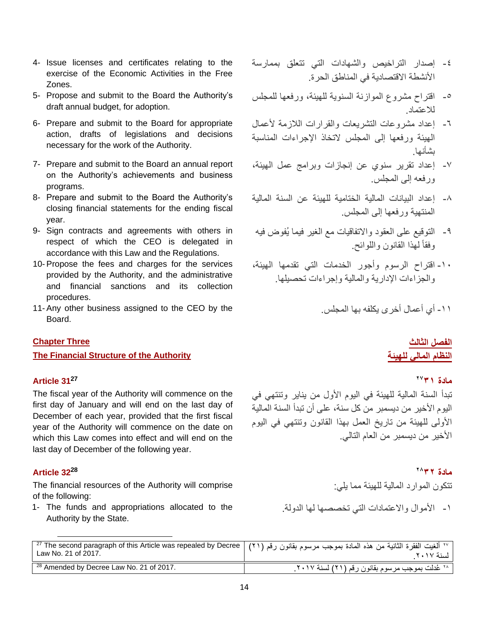- 4- Issue licenses and certificates relating to the exercise of the Economic Activities in the Free Zones.
- 5- Propose and submit to the Board the Authority's draft annual budget, for adoption.
- 6- Prepare and submit to the Board for appropriate action, drafts of legislations and decisions necessary for the work of the Authority.
- 7- Prepare and submit to the Board an annual report on the Authority's achievements and business programs.
- 8- Prepare and submit to the Board the Authority's closing financial statements for the ending fiscal year.
- 9- Sign contracts and agreements with others in respect of which the CEO is delegated in accordance with this Law and the Regulations.
- 10- Propose the fees and charges for the services provided by the Authority, and the administrative and financial sanctions and its collection procedures.
- 11- Any other business assigned to the CEO by the Board.

**The Financial Structure of the Authority للهيئة [المالي النظام](https://almeezan.qa/LawView.aspx?opt&LawID=270&language=ar)**

# **[مادة](https://almeezan.qa/LawArticles.aspx?LawArticleID=74651&lawId=270&language=ar) 31 31<sup>27</sup> Article**

The fiscal year of the Authority will commence on the first day of January and will end on the last day of December of each year, provided that the first fiscal year of the Authority will commence on the date on which this Law comes into effect and will end on the last day of December of the following year.

# **[مادة](https://almeezan.qa/LawArticles.aspx?LawArticleID=74651&lawId=270&language=ar) 32 32<sup>28</sup> Article**

The financial resources of the Authority will comprise of the following:

1- The funds and appropriations allocated to the Authority by the State.

- -4 إصدار التراخيص والشهادات التي تتعلق بممارسة األنشطة االقتصادية في المناطق الحرة .
- -5 اقتراح مشروع الموازنة السنوية للهيئة، ورفعها للمجلس لالعتماد.
- -6 إعداد مشروعات التشريعات والقرارات الالزمة ألعمال الهيئة ورفعها إلى المجلس التخاذ اإلجراءات المناسبة بشأنها.
- -7 إعداد تقرير سنوي عن إنجازات وبرامج عمل الهيئة، ورفعه إلى المجلس.
- -8 إعداد البيانات المالية الختامية للهيئة عن السنة المالية المنتهية ورفعها إلى المجلس.
- -9 التوقيع على العقود واالتفاقيات مع الغير فيما ي فوض فيه وفقا لهذا القانون واللوائح.
- -10 اقتراح الرسوم وأجور الخدمات التي تقدمها الهيئة، والجزاءات اإلدارية والمالية وإجراءات تحصيلها.

-11 أي أعمال أخرى يكلفه بها المجلس.

# **[الفصل](https://almeezan.qa/LawView.aspx?opt&LawID=270&language=ar) الثالث Three Chapter**

### **ALE / ٣٧٣**

تبدأ السنة المالية للهيئة في اليوم األول من يناير وتنتهي في اليوم األخير من ديسمبر من كل سنة، على أن تبدأ السنة المالية األولى للهيئة من تاريخ العمل بهذا القانون وتنتهي في اليوم األخير من ديسمبر من العام التالي.

### مادة ٢٨٣٢

تتكون الموارد المالية للهيئة مما يلي:

-1 األموال واالعتمادات التي تخصصها لها الدولة.

| 7٪ ألغيت الفقرة الثانية من هذه المادة بموجب مرسوم بقانون رقم (٢١) The second paragraph of this Article was repealed by Decree [ (٢١) الغيت الفقرة الثانية من هذه المادة بموجب مرسوم بقانون رقم (٢١)<br>Law No. 21 of 2017. | لسنة ٢٠١٧                                       |
|----------------------------------------------------------------------------------------------------------------------------------------------------------------------------------------------------------------------------|-------------------------------------------------|
| <sup>28</sup> Amended by Decree Law No. 21 of 2017.                                                                                                                                                                        | ** عُدلت بموجب مرسوم بقانون رقم (٢١) لسنة ٢٠١٧. |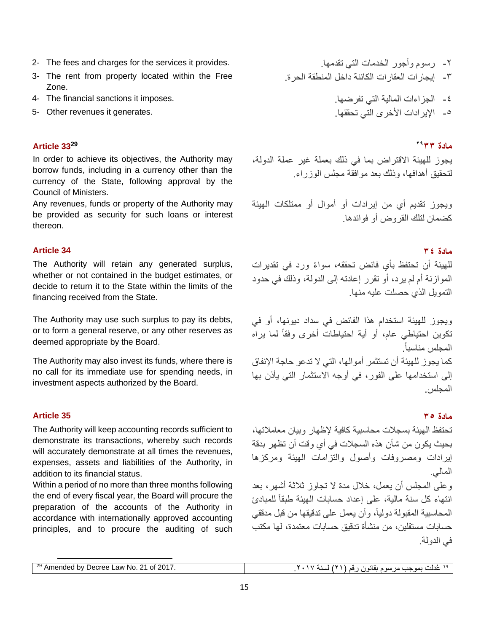- 2- The fees and charges for the services it provides. .تقدمها التي الخدمات وأجور رسوم -2
- 3- The rent from property located within the Free Zone.
- 4- The financial sanctions it imposes. .تفرضها التي المالية الجزاءات -4
- -5 اإليرادات األخرى التي تحققها . .generates it revenues Other 5-

# **[مادة](https://almeezan.qa/LawArticles.aspx?LawArticleID=74651&lawId=270&language=ar) 33 33<sup>29</sup> Article**

In order to achieve its objectives, the Authority may borrow funds, including in a currency other than the currency of the State, following approval by the Council of Ministers.

Any revenues, funds or property of the Authority may be provided as security for such loans or interest thereon.

# **مادة 34 34 Article**

The Authority will retain any generated surplus, whether or not contained in the budget estimates, or decide to return it to the State within the limits of the financing received from the State.

The Authority may use such surplus to pay its debts, or to form a general reserve, or any other reserves as deemed appropriate by the Board.

The Authority may also invest its funds, where there is no call for its immediate use for spending needs, in investment aspects authorized by the Board.

# **مادة 35 35 Article**

The Authority will keep accounting records sufficient to demonstrate its transactions, whereby such records will accurately demonstrate at all times the revenues, expenses, assets and liabilities of the Authority, in addition to its financial status.

Within a period of no more than three months following the end of every fiscal year, the Board will procure the preparation of the accounts of the Authority in accordance with internationally approved accounting principles, and to procure the auditing of such

### مادة <sup>79</sup>۳۳

يجوز للهيئة االقتراض بما في ذلك بعملة غير عملة الدولة، لتحقيق أهدافها، وذلك بعد موافقة مجلس الوزراء.

ويجوز تقديم أي من إيرادات أو أموال أو ممتلكات الهيئة كضمان لتلك القروض أو فوائدها.

للهيئة أن تحتفظ بأي فائض تحققه، سواءً ورد في تقديرات الموازنة أم لم يرد، أو تقرر إعادته إلى الدولة، وذلك في حدود التمويل الذي حصلت عليه منها.

ويجوز للهيئة استخدام هذا الفائض في سداد ديونها، أو في تكوين احتياطي عام، أو أية احتياطات أخرى وفقاً لما يراه المحلس مناسباً كما يجوز للهيئة أن تستثمر أموالها، التي ال تدعو حاجة اإلنفاق إلى استخدامها على الفور، في أوجه االستثمار التي يأذن بها المجلس.

تحتفظ الهيئة بسجالت محاسبية كافية إلظهار وبيان معامالتها، بحيث يكون من شأن هذه السجالت في أي وقت أن تظهر بدقة إيرادات ومصروفات وأصول والتزامات الهيئة ومركزها المالي.

وعلى المجلس أن يعمل، خالل مدة ال تجاوز ثالثة أشهر، بعد انتهاء كل سنة مالية، على إعداد حسابات الهيئة طبقاً للمبادئ المحاسبية المقبولة دولياً، وأن يعمل على تدقيقها من قبل مدققي حسابات مستقلين، من منشأة تدقيق حسابات معتمدة، لها مكتب في الدولة.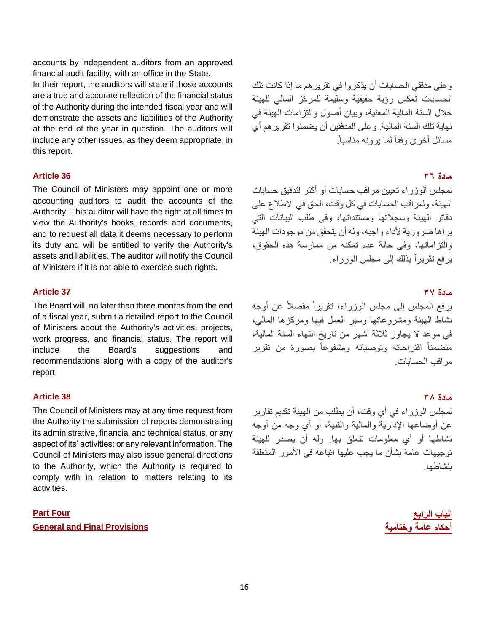accounts by independent auditors from an approved financial audit facility, with an office in the State.

In their report, the auditors will state if those accounts are a true and accurate reflection of the financial status of the Authority during the intended fiscal year and will demonstrate the assets and liabilities of the Authority at the end of the year in question. The auditors will include any other issues, as they deem appropriate, in this report.

## **مادة 36 36 Article**

The Council of Ministers may appoint one or more accounting auditors to audit the accounts of the Authority. This auditor will have the right at all times to view the Authority's books, records and documents, and to request all data it deems necessary to perform its duty and will be entitled to verify the Authority's assets and liabilities. The auditor will notify the Council of Ministers if it is not able to exercise such rights.

### **مادة 37 37 Article**

The Board will, no later than three months from the end of a fiscal year, submit a detailed report to the Council of Ministers about the Authority's activities, projects, work progress, and financial status. The report will include the Board's suggestions and recommendations along with a copy of the auditor's report.

### **مادة 38 38 Article**

The Council of Ministers may at any time request from the Authority the submission of reports demonstrating its administrative, financial and technical status, or any aspect of its' activities; or any relevant information. The Council of Ministers may also issue general directions to the Authority, which the Authority is required to comply with in relation to matters relating to its activities.

**[الباب الرابع](https://almeezan.qa/LawView.aspx?opt&LawID=270&language=ar) Four Part General and Final Provisions [وختامية](https://almeezan.qa/LawView.aspx?opt&LawID=270&language=ar) عامة أحكام**

وعلى مدققي الحسابات أن يذكروا في تقريرهم ما إذا كانت تلك الحسابات تعكس رؤية حقيقية وسليمة للمركز المالي للهيئة خالل السنة المالية المعنية، وبيان أصول والتزامات الهيئة في نهاية تلك السنة المالية. وعلى المدققين أن يضمنوا تقريرهم أي مسائل أخرى وفقأ لما يرونه مناسباً.

لمجلس الوزراء تعيين مراقب حسابات أو أكثر لتدقيق حسابات الهيئة، ولمراقب الحسابات في كل وقت، الحق في االطالع على دفاتر الهيئة وسجالتها ومستنداتها، وفى طلب البيانات التي ير اها ضرورية لأداء واجبه، وله أن يتحقق من موجودات الهيئة والتزاماتها، وفى حالة عدم تمكنه من ممارسة هذه الحقوق، بر فع تقرير اً بذلك إلى مجلس الوزراء.

برفع المجلس إلى مجلس الوزراء، تقريراً مفصلاً عن أوجه نشاط الهيئة ومشروعاتها وسير العمل فيها ومركزها المالي، في موعد ال يجاوز ثالثة أشهر من تاريخ انتهاء السنة المالية، متضمنا اقتراحاته وتوصياته ومشفوعا بصورة من تقرير مراقب الحسابات.

لمجلس الوزراء في أي وقت، أن يطلب من الهيئة تقديم تقارير عن أوضاعها اإلدارية والمالية والفنية، أو أي وجه من أوجه نشاطها أو أي معلومات تتعلق بها. وله أن يصدر للهيئة توجيهات عامة بشأن ما يجب عليها اتباعه في الأمور المتعلقة بنشاطها.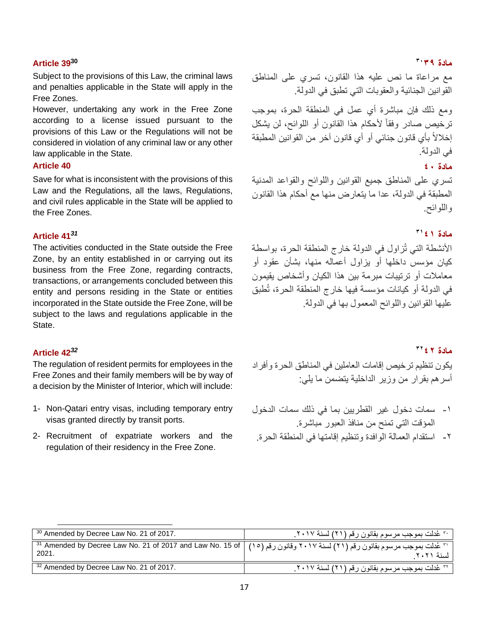# **[مادة](https://almeezan.qa/LawArticles.aspx?LawArticleID=74651&lawId=270&language=ar) 39 39<sup>30</sup> Article**

Subject to the provisions of this Law, the criminal laws and penalties applicable in the State will apply in the Free Zones.

However, undertaking any work in the Free Zone according to a license issued pursuant to the provisions of this Law or the Regulations will not be considered in violation of any criminal law or any other law applicable in the State.

### **مادة 40 40 Article**

Save for what is inconsistent with the provisions of this Law and the Regulations, all the laws, Regulations, and civil rules applicable in the State will be applied to the Free Zones.

## **[مادة](https://almeezan.qa/LawArticles.aspx?LawArticleID=74651&lawId=270&language=ar) 41 41***<sup>31</sup>* **Article**

The activities conducted in the State outside the Free Zone, by an entity established in or carrying out its business from the Free Zone, regarding contracts, transactions, or arrangements concluded between this entity and persons residing in the State or entities incorporated in the State outside the Free Zone, will be subject to the laws and regulations applicable in the State.

## **[مادة](https://almeezan.qa/LawArticles.aspx?LawArticleID=74651&lawId=270&language=ar) 42 42***<sup>32</sup>* **Article**

The regulation of resident permits for employees in the Free Zones and their family members will be by way of a decision by the Minister of Interior, which will include:

- 1- Non-Qatari entry visas, including temporary entry visas granted directly by transit ports.
- 2- Recruitment of expatriate workers and the regulation of their residency in the Free Zone.

### مادة ٣٠٣٩

مع مراعاة ما نص عليه هذا القانون، تسري على المناطق القوانين الجنائية والعقوبات التي تطبق في الدولة.

ومع ذلك فإن مباشرة أي عمل في المنطقة الحرة، بموجب ترخيص صادر وفقاً لأحكام هذا القانون أو اللوائح، لن يشكل إخالال بأي قانون جنائي أو أي قانون آخر من القوانين المطبقة في الدولة.

تسري على المناطق جميع القوانين واللوائح والقواعد المدنية المطبقة في الدولة، عدا ما يتعارض منها مع أحكام هذا القانون واللوائح.

### مادة ١٤١<sup>٠</sup>

الأنشطة التي تُزاول في الدولة خارج المنطقة الحرة، بواسطة كيان مؤسس داخلها أو يزاول أعماله منها، بشأن عقود أو معامالت أو ترتيبات مبرمة بين هذا الكيان وأشخاص يقيمون في الدولة أو كيانات مؤسسة فيها خارج المنطقة الحرة، تُطبق عليها القوانين واللوائح المعمول بها في الدولة.

### مادة ٢٢ ٢<sup>٢٢</sup>

يكون تنظيم ترخيص إقامات العاملين في المناطق الحرة وأفراد أسر هم بقرار من وزير الداخلية يتضمن ما يلي:

- -1 سمات دخول غير القطريين بما في ذلك سمات الدخول المؤقت التي تمنح من منافذ العبور مباشرة .
- -2 استقدام العمالة الوافدة وتنظيم إقامتها في المنطقة الحرة .

| <sup>30</sup> Amended by Decree Law No. 21 of 2017.                                                                                                                                                         | ٣٠ عُدلت بموجب مرسوم بقانون رقم (٢١) لسنة ٢٠١٧. |
|-------------------------------------------------------------------------------------------------------------------------------------------------------------------------------------------------------------|-------------------------------------------------|
| '' عُدلت بموجب مرسوم بقانون رقم ( ۲ ) لسنة ۲۰۱۷ وقانون رقم ( <sup>0 ۱</sup> )   <sup>31</sup> Amended by Decree Law No. 21 of 2017 and Law No. 15 of ، وقانون رقم ( ۲ ) لسنة ۲۰۱۷ وقانون رقم ( ۵ ا<br>2021. | ا لسنة ٢٠٢١                                     |
| <sup>32</sup> Amended by Decree Law No. 21 of 2017.                                                                                                                                                         | ٣١ عُدلت بموجب مرسوم بقانون رقم (٢١) لسنة ٢٠١٧. |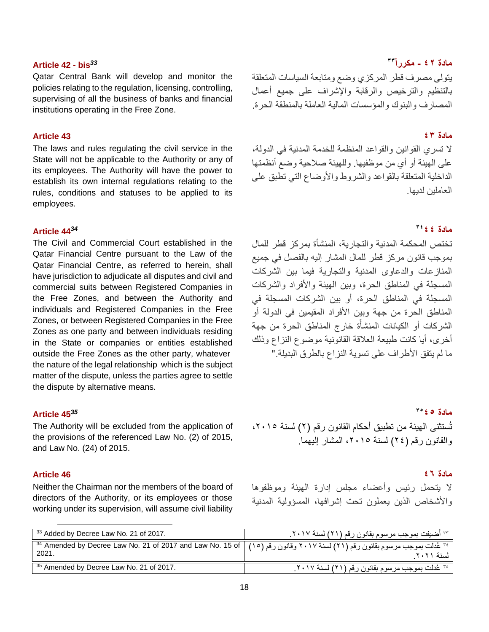### **مادة 42 - مكررا** *<sup>33</sup>***bis** *-* **42 Article**

Qatar Central Bank will develop and monitor the policies relating to the regulation, licensing, controlling, supervising of all the business of banks and financial institutions operating in the Free Zone.

### **مادة 43 43 Article**

The laws and rules regulating the civil service in the State will not be applicable to the Authority or any of its employees. The Authority will have the power to establish its own internal regulations relating to the rules, conditions and statuses to be applied to its employees.

## **[مادة](https://almeezan.qa/LawArticles.aspx?LawArticleID=74651&lawId=270&language=ar) 44 44***<sup>34</sup>* **Article**

The Civil and Commercial Court established in the Qatar Financial Centre pursuant to the Law of the Qatar Financial Centre, as referred to herein, shall have jurisdiction to adjudicate all disputes and civil and commercial suits between Registered Companies in the Free Zones, and between the Authority and individuals and Registered Companies in the Free Zones, or between Registered Companies in the Free Zones as one party and between individuals residing in the State or companies or entities established outside the Free Zones as the other party, whatever the nature of the legal relationship which is the subject matter of the dispute, unless the parties agree to settle the dispute by alternative means.

The Authority will be excluded from the application of the provisions of the referenced Law No. (2) of 2015, and Law No. (24) of 2015.

### **مادة 46 46 Article**

Neither the Chairman nor the members of the board of directors of the Authority, or its employees or those working under its supervision, will assume civil liability

# مادة ٤٢ - مكرر<sup>771</sup>

يتولى مصرف قطر المركزي وضع ومتابعة السياسات المتعلقة بالتنظيم والترخيص والرقابة واإلشراف على جميع أعمال المصارف والبنوك والمؤسسات المالية العاملة بالمنطقة الحرة .

ال تسري القوانين والقواعد المنظمة للخدمة المدنية في الدولة، على الهيئة أو أي من موظفيها. وللهيئة صالحية وضع أنظمتها الداخلية المتعلقة بالقواعد والشروط واألوضاع التي تطبق على العاملين لديها.

### مادة ٤٤<sup>٢٤</sup>

تختص المحكمة المدنية والتجارية، المنشأة بمركز قطر للمال بموجب قانون مركز قطر للمال المشار إليه بالفصل في جميع المنازعات والدعاوى المدنية والتجارية فيما بين الشركات المسجلة في المناطق الحرة، وبين الهيئة والأفراد والشركات المسجلة في المناطق الحرة، أو بين الشركات المسجلة في المناطق الحرة من جهة وبين األفراد المقيمين في الدولة أو الشركات أو الكيانات المنشأَة خارج المناطق الحرة من جهة أخرى، أيا كانت طبيعة العالقة القانونية موضوع النزاع وذلك ما لم يتفق الأطر اف على تسوية النز اع بالطرق البديلة."

مادة **25<sup>°7</sup> [مادة](https://almeezan.qa/LawArticles.aspx?LawArticleID=74651&lawId=270&language=ar) 45 45***<sup>35</sup>* **Article** تُستثنى الهيئة من تطبيق أحكام القانون رقم (٢) لسنة ٢٠١٥، والقانون رقم (٢٤) لسنة ٢٠١٥، المشار إليهما.

ال يتحمل رئيس وأعضاء مجلس إدارة الهيئة وموظفوها والأشخاص الذبن بعملون تحت إشرافها، المسؤولية المدنية

| $33$ Added by Decree Law No. 21 of 2017.                                                                                                            | ٣٦ أضيفت بموجب مرسوم بقانون رقم (٢١) لسنة ٢٠١٧. |
|-----------------------------------------------------------------------------------------------------------------------------------------------------|-------------------------------------------------|
| <sup>٢٤</sup> عُدلت بموجب مرسوم بقانون رقم (٢١) لسنة ٢٠١٧ وقانون رقم (٢٥ )   <sup>34</sup> Amended by Decree Law No. 21 of 2017 and Law No. 15 of أ |                                                 |
| 2021.                                                                                                                                               | لسنة ٢٠٢١                                       |
| <sup>35</sup> Amended by Decree Law No. 21 of 2017.                                                                                                 | ~" عُدلت بموجب مرسوم بقانون رقم (٢١) لسنة ٢٠١٧. |